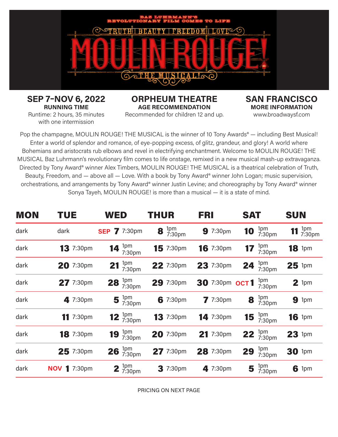

**SEP 7–NOV 6, 2022 RUNNING TIME**

**ORPHEUM THEATRE AGE RECOMMENDATION** Recommended for children 12 and up.

**SAN FRANCISCO MORE INFORMATION** www.broadwaysf.com

Runtime: 2 hours, 35 minutes with one intermission

Pop the champagne, MOULIN ROUGE! THE MUSICAL is the winner of 10 Tony Awards<sup>®</sup> — including Best Musical! Enter a world of splendor and romance, of eye-popping excess, of glitz, grandeur, and glory! A world where Bohemians and aristocrats rub elbows and revel in electrifying enchantment. Welcome to MOULIN ROUGE! THE MUSICAL Baz Luhrmann's revolutionary film comes to life onstage, remixed in a new musical mash-up extravaganza. Directed by Tony Award® winner Alex Timbers, MOULIN ROUGE! THE MUSICAL is a theatrical celebration of Truth, Beauty, Freedom, and — above all — Love. With a book by Tony Award® winner John Logan; music supervision, orchestrations, and arrangements by Tony Award® winner Justin Levine; and choreography by Tony Award® winner Sonya Tayeh, MOULIN ROUGE! is more than a musical — it is a state of mind.

| <b>MON</b> | <b>TUE</b>          | <b>WED</b>                    | <b>THUR</b>            | <b>FRI</b>         | <b>SAT</b>                           | <b>SUN</b>           |
|------------|---------------------|-------------------------------|------------------------|--------------------|--------------------------------------|----------------------|
| dark       | dark                | <b>SEP 7</b> 7:30pm           | $8 \frac{1}{7}$ 7:30pm | 9 7:30pm           | 1pm<br>7:30pm<br>10                  | 11 $^{1pm}_{7:30pm}$ |
| dark       | <b>13</b> 7:30pm    | 14 $\frac{1}{7:30 \text{pm}}$ | <b>15</b> 7:30pm       | <b>16</b> 7:30pm   | 1pm<br>7:30pm<br>17                  | <b>18</b> 1pm        |
| dark       | 20 7:30pm           | 1pm<br>7:30pm<br>21           | 22 7:30pm              | 23 7:30pm          | 1pm<br>7:30pm<br>24                  | $25$ 1pm             |
| dark       | 27 7:30pm           | 28 $_{7:30pm}^{1pm}$          | 29 7:30pm              | 30 7:30pm OCT1     | 1pm<br>7:30pm                        | $2$ 1pm              |
| dark       | 4 7:30pm            | 5 $\frac{1}{7}$ 7:30pm        | 6 7:30pm               | 7.30 <sub>pm</sub> | <b>8</b> $\frac{1}{7}$ 7:30pm        | 91pm                 |
| dark       | 11 7:30pm           | <b>12</b> $\frac{1}{7:30}$ pm | 13 7:30pm              | 14 7:30pm          | <b>15</b> $\frac{1}{7:30 \text{pm}}$ | 16 1pm               |
| dark       | 18 7:30pm           | 19 $_{7:30pm}^{1pm}$          | 20 7:30pm              | 21 7:30pm          | <b>22</b> $\frac{1pm}{7:30pm}$       | 23 1pm               |
| dark       | 25 7:30pm           | $26^{1pm}$ 7:30pm             | 27 7:30pm              | 28 7:30pm          | 1pm<br>7:30pm<br>29                  | <b>30 1pm</b>        |
| dark       | <b>NOV 1</b> 7:30pm | <b>2</b> $\frac{1}{7:30}$ pm  | <b>3</b> 7:30pm        | 4 7:30pm           | 5 $\frac{1}{7:30}$ pm                | $6$ 1pm              |

PRICING ON NEXT PAGE